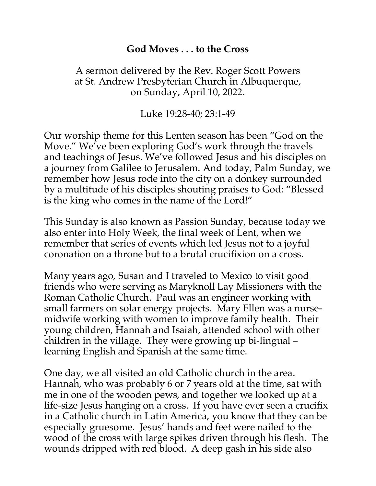## **God Moves . . . to the Cross**

## A sermon delivered by the Rev. Roger Scott Powers at St. Andrew Presbyterian Church in Albuquerque, on Sunday, April 10, 2022.

Luke 19:28-40; 23:1-49

Our worship theme for this Lenten season has been "God on the Move." We've been exploring God's work through the travels and teachings of Jesus. We've followed Jesus and his disciples on a journey from Galilee to Jerusalem. And today, Palm Sunday, we remember how Jesus rode into the city on a donkey surrounded by a multitude of his disciples shouting praises to God: "Blessed is the king who comes in the name of the Lord!"

This Sunday is also known as Passion Sunday, because today we also enter into Holy Week, the final week of Lent, when we remember that series of events which led Jesus not to a joyful coronation on a throne but to a brutal crucifixion on a cross.

Many years ago, Susan and I traveled to Mexico to visit good friends who were serving as Maryknoll Lay Missioners with the Roman Catholic Church. Paul was an engineer working with small farmers on solar energy projects. Mary Ellen was a nursemidwife working with women to improve family health. Their young children, Hannah and Isaiah, attended school with other children in the village. They were growing up bi-lingual – learning English and Spanish at the same time.

One day, we all visited an old Catholic church in the area. Hannah, who was probably 6 or 7 years old at the time, sat with me in one of the wooden pews, and together we looked up at a life-size Jesus hanging on a cross. If you have ever seen a crucifix in a Catholic church in Latin America, you know that they can be especially gruesome. Jesus' hands and feet were nailed to the wood of the cross with large spikes driven through his flesh. The wounds dripped with red blood. A deep gash in his side also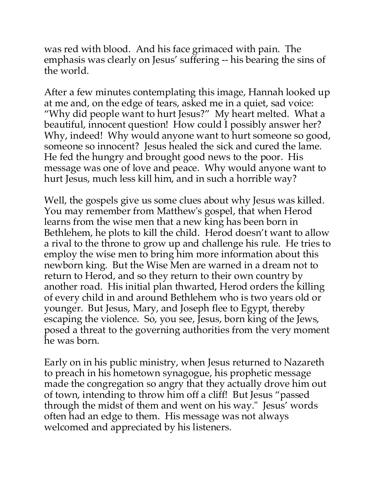was red with blood. And his face grimaced with pain. The emphasis was clearly on Jesus' suffering -- his bearing the sins of the world.

After a few minutes contemplating this image, Hannah looked up at me and, on the edge of tears, asked me in a quiet, sad voice: "Why did people want to hurt Jesus?" My heart melted. What a beautiful, innocent question! How could I possibly answer her? Why, indeed! Why would anyone want to hurt someone so good, someone so innocent? Jesus healed the sick and cured the lame. He fed the hungry and brought good news to the poor. His message was one of love and peace. Why would anyone want to hurt Jesus, much less kill him, and in such a horrible way?

Well, the gospels give us some clues about why Jesus was killed. You may remember from Matthew's gospel, that when Herod learns from the wise men that a new king has been born in Bethlehem, he plots to kill the child. Herod doesn't want to allow a rival to the throne to grow up and challenge his rule. He tries to employ the wise men to bring him more information about this newborn king. But the Wise Men are warned in a dream not to return to Herod, and so they return to their own country by another road. His initial plan thwarted, Herod orders the killing of every child in and around Bethlehem who is two years old or younger. But Jesus, Mary, and Joseph flee to Egypt, thereby escaping the violence. So, you see, Jesus, born king of the Jews, posed a threat to the governing authorities from the very moment he was born.

Early on in his public ministry, when Jesus returned to Nazareth to preach in his hometown synagogue, his prophetic message made the congregation so angry that they actually drove him out of town, intending to throw him off a cliff! But Jesus "passed through the midst of them and went on his way." Jesus' words often had an edge to them. His message was not always welcomed and appreciated by his listeners.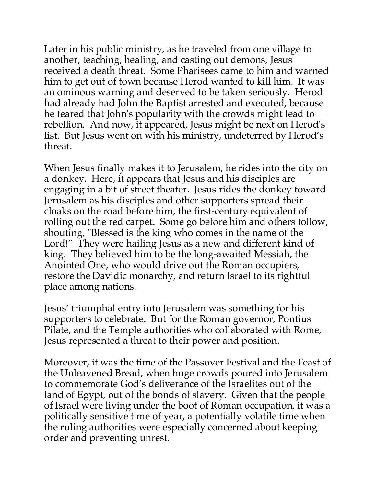Later in his public ministry, as he traveled from one village to another, teaching, healing, and casting out demons, Jesus received a death threat. Some Pharisees came to him and warned him to get out of town because Herod wanted to kill him. It was an ominous warning and deserved to be taken seriously. Herod had already had John the Baptist arrested and executed, because he feared that John's popularity with the crowds might lead to rebellion. And now, it appeared, Jesus might be next on Herod's list. But Jesus went on with his ministry, undeterred by Herod's threat.

When Jesus finally makes it to Jerusalem, he rides into the city on a donkey. Here, it appears that Jesus and his disciples are engaging in a bit of street theater. Jesus rides the donkey toward Jerusalem as his disciples and other supporters spread their cloaks on the road before him, the first-century equivalent of rolling out the red carpet. Some go before him and others follow, shouting, "Blessed is the king who comes in the name of the Lord!" They were hailing Jesus as a new and different kind of king. They believed him to be the long-awaited Messiah, the Anointed One, who would drive out the Roman occupiers, restore the Davidic monarchy, and return Israel to its rightful place among nations.

Jesus' triumphal entry into Jerusalem was something for his supporters to celebrate. But for the Roman governor, Pontius Pilate, and the Temple authorities who collaborated with Rome, Jesus represented a threat to their power and position.

Moreover, it was the time of the Passover Festival and the Feast of the Unleavened Bread, when huge crowds poured into Jerusalem to commemorate God's deliverance of the Israelites out of the land of Egypt, out of the bonds of slavery. Given that the people of Israel were living under the boot of Roman occupation, it was a politically sensitive time of year, a potentially volatile time when the ruling authorities were especially concerned about keeping order and preventing unrest.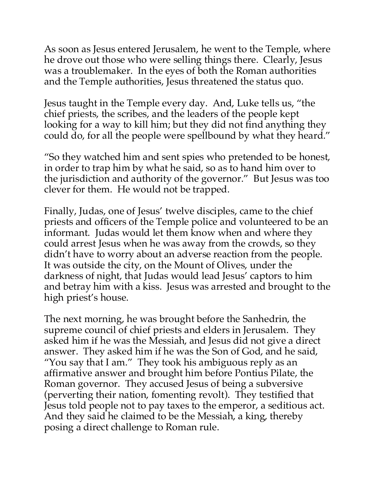As soon as Jesus entered Jerusalem, he went to the Temple, where he drove out those who were selling things there. Clearly, Jesus was a troublemaker. In the eyes of both the Roman authorities and the Temple authorities, Jesus threatened the status quo.

Jesus taught in the Temple every day. And, Luke tells us, "the chief priests, the scribes, and the leaders of the people kept looking for a way to kill him; but they did not find anything they could do, for all the people were spellbound by what they heard."

"So they watched him and sent spies who pretended to be honest, in order to trap him by what he said, so as to hand him over to the jurisdiction and authority of the governor." But Jesus was too clever for them. He would not be trapped.

Finally, Judas, one of Jesus' twelve disciples, came to the chief priests and officers of the Temple police and volunteered to be an informant. Judas would let them know when and where they could arrest Jesus when he was away from the crowds, so they didn't have to worry about an adverse reaction from the people. It was outside the city, on the Mount of Olives, under the darkness of night, that Judas would lead Jesus' captors to him and betray him with a kiss. Jesus was arrested and brought to the high priest's house.

The next morning, he was brought before the Sanhedrin, the supreme council of chief priests and elders in Jerusalem. They asked him if he was the Messiah, and Jesus did not give a direct answer. They asked him if he was the Son of God, and he said, "You say that I am." They took his ambiguous reply as an affirmative answer and brought him before Pontius Pilate, the Roman governor. They accused Jesus of being a subversive (perverting their nation, fomenting revolt). They testified that Jesus told people not to pay taxes to the emperor, a seditious act. And they said he claimed to be the Messiah, a king, thereby posing a direct challenge to Roman rule.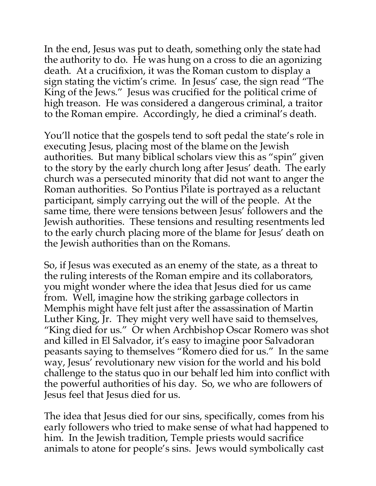In the end, Jesus was put to death, something only the state had the authority to do. He was hung on a cross to die an agonizing death. At a crucifixion, it was the Roman custom to display a sign stating the victim's crime. In Jesus' case, the sign read "The King of the Jews." Jesus was crucified for the political crime of high treason. He was considered a dangerous criminal, a traitor to the Roman empire. Accordingly, he died a criminal's death.

You'll notice that the gospels tend to soft pedal the state's role in executing Jesus, placing most of the blame on the Jewish authorities. But many biblical scholars view this as "spin" given to the story by the early church long after Jesus' death. The early church was a persecuted minority that did not want to anger the Roman authorities. So Pontius Pilate is portrayed as a reluctant participant, simply carrying out the will of the people. At the same time, there were tensions between Jesus' followers and the Jewish authorities. These tensions and resulting resentments led to the early church placing more of the blame for Jesus' death on the Jewish authorities than on the Romans.

So, if Jesus was executed as an enemy of the state, as a threat to the ruling interests of the Roman empire and its collaborators, you might wonder where the idea that Jesus died for us came from. Well, imagine how the striking garbage collectors in Memphis might have felt just after the assassination of Martin Luther King, Jr. They might very well have said to themselves, "King died for us." Or when Archbishop Oscar Romero was shot and killed in El Salvador, it's easy to imagine poor Salvadoran peasants saying to themselves "Romero died for us." In the same way, Jesus' revolutionary new vision for the world and his bold challenge to the status quo in our behalf led him into conflict with the powerful authorities of his day. So, we who are followers of Jesus feel that Jesus died for us.

The idea that Jesus died for our sins, specifically, comes from his early followers who tried to make sense of what had happened to him. In the Jewish tradition, Temple priests would sacrifice animals to atone for people's sins. Jews would symbolically cast